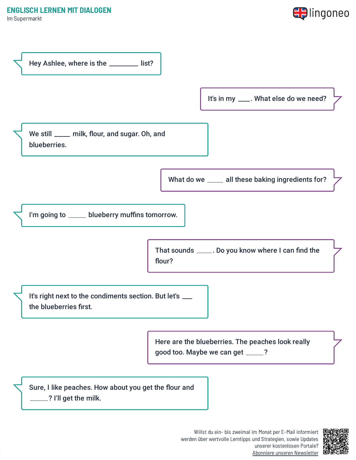Im Supermarkt





Willst du ein- bis zweimal im Monat per E-Mail informiert werden über wertvolle Lerntipps und Strategien, sowie Updates unserer kostenlosen Portale? Abonniere unseren [Newsletter](https://www.lingoneo.org/englisch-lernen?channel=emailcampaignnewsletter&tcontent=so-m-27&tsource=srt_source)